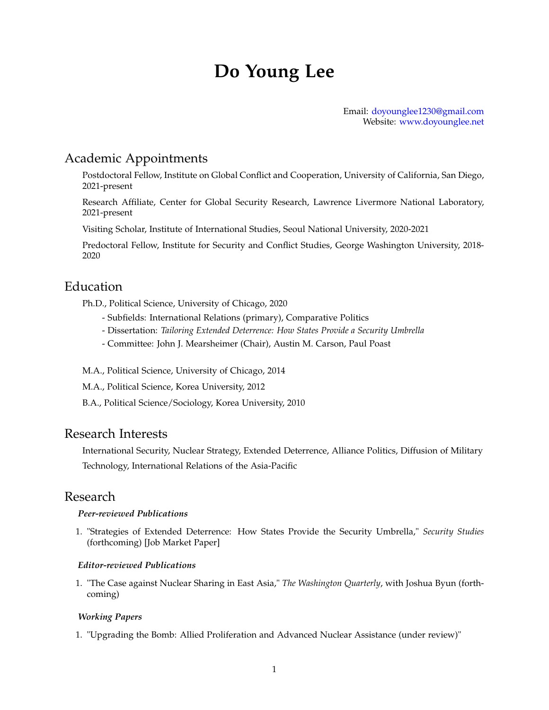# **Do Young Lee**

Email: [doyounglee1230@gmail.com](mailto:doyounglee1230@gmail.com) Website: <www.doyounglee.net>

## Academic Appointments

Postdoctoral Fellow, Institute on Global Conflict and Cooperation, University of California, San Diego, 2021-present

Research Affiliate, Center for Global Security Research, Lawrence Livermore National Laboratory, 2021-present

Visiting Scholar, Institute of International Studies, Seoul National University, 2020-2021

Predoctoral Fellow, Institute for Security and Conflict Studies, George Washington University, 2018- 2020

### Education

Ph.D., Political Science, University of Chicago, 2020

- Subfields: International Relations (primary), Comparative Politics
- Dissertation: *Tailoring Extended Deterrence: How States Provide a Security Umbrella*
- Committee: John J. Mearsheimer (Chair), Austin M. Carson, Paul Poast

M.A., Political Science, University of Chicago, 2014

M.A., Political Science, Korea University, 2012

B.A., Political Science/Sociology, Korea University, 2010

#### Research Interests

International Security, Nuclear Strategy, Extended Deterrence, Alliance Politics, Diffusion of Military Technology, International Relations of the Asia-Pacific

#### Research

#### *Peer-reviewed Publications*

1. "Strategies of Extended Deterrence: How States Provide the Security Umbrella," *Security Studies* (forthcoming) [Job Market Paper]

#### *Editor-reviewed Publications*

1. "The Case against Nuclear Sharing in East Asia," *The Washington Quarterly*, with Joshua Byun (forthcoming)

#### *Working Papers*

1. "Upgrading the Bomb: Allied Proliferation and Advanced Nuclear Assistance (under review)"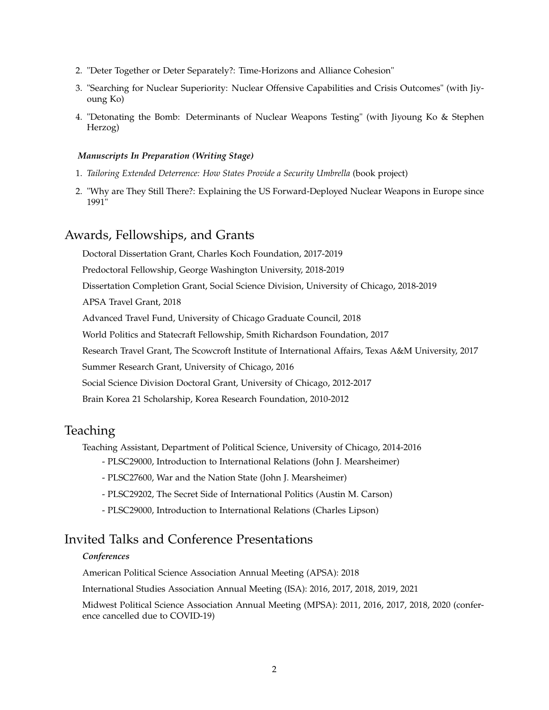- 2. "Deter Together or Deter Separately?: Time-Horizons and Alliance Cohesion"
- 3. "Searching for Nuclear Superiority: Nuclear Offensive Capabilities and Crisis Outcomes" (with Jiyoung Ko)
- 4. "Detonating the Bomb: Determinants of Nuclear Weapons Testing" (with Jiyoung Ko & Stephen Herzog)

#### *Manuscripts In Preparation (Writing Stage)*

- 1. *Tailoring Extended Deterrence: How States Provide a Security Umbrella* (book project)
- 2. "Why are They Still There?: Explaining the US Forward-Deployed Nuclear Weapons in Europe since 1991"

### Awards, Fellowships, and Grants

Doctoral Dissertation Grant, Charles Koch Foundation, 2017-2019 Predoctoral Fellowship, George Washington University, 2018-2019 Dissertation Completion Grant, Social Science Division, University of Chicago, 2018-2019 APSA Travel Grant, 2018 Advanced Travel Fund, University of Chicago Graduate Council, 2018 World Politics and Statecraft Fellowship, Smith Richardson Foundation, 2017 Research Travel Grant, The Scowcroft Institute of International Affairs, Texas A&M University, 2017 Summer Research Grant, University of Chicago, 2016 Social Science Division Doctoral Grant, University of Chicago, 2012-2017 Brain Korea 21 Scholarship, Korea Research Foundation, 2010-2012

## Teaching

Teaching Assistant, Department of Political Science, University of Chicago, 2014-2016

- PLSC29000, Introduction to International Relations (John J. Mearsheimer)
- PLSC27600, War and the Nation State (John J. Mearsheimer)
- PLSC29202, The Secret Side of International Politics (Austin M. Carson)
- PLSC29000, Introduction to International Relations (Charles Lipson)

## Invited Talks and Conference Presentations

#### *Conferences*

American Political Science Association Annual Meeting (APSA): 2018

International Studies Association Annual Meeting (ISA): 2016, 2017, 2018, 2019, 2021

Midwest Political Science Association Annual Meeting (MPSA): 2011, 2016, 2017, 2018, 2020 (conference cancelled due to COVID-19)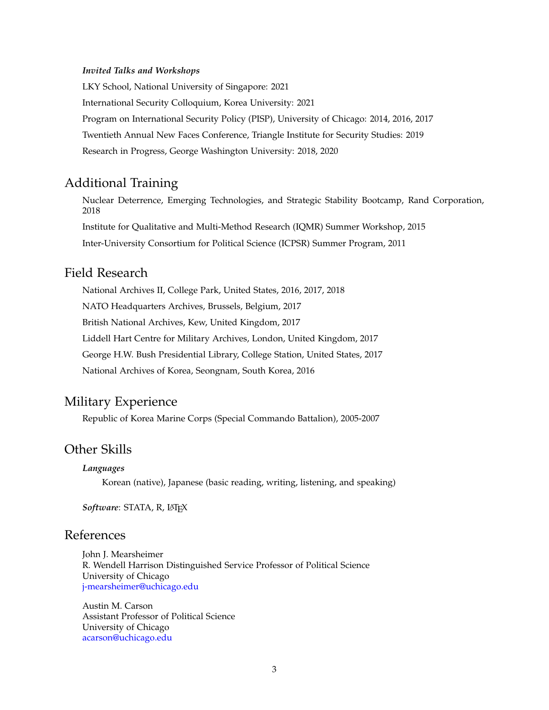#### *Invited Talks and Workshops*

LKY School, National University of Singapore: 2021 International Security Colloquium, Korea University: 2021 Program on International Security Policy (PISP), University of Chicago: 2014, 2016, 2017 Twentieth Annual New Faces Conference, Triangle Institute for Security Studies: 2019 Research in Progress, George Washington University: 2018, 2020

## Additional Training

Nuclear Deterrence, Emerging Technologies, and Strategic Stability Bootcamp, Rand Corporation, 2018 Institute for Qualitative and Multi-Method Research (IQMR) Summer Workshop, 2015 Inter-University Consortium for Political Science (ICPSR) Summer Program, 2011

### Field Research

National Archives II, College Park, United States, 2016, 2017, 2018 NATO Headquarters Archives, Brussels, Belgium, 2017 British National Archives, Kew, United Kingdom, 2017 Liddell Hart Centre for Military Archives, London, United Kingdom, 2017 George H.W. Bush Presidential Library, College Station, United States, 2017 National Archives of Korea, Seongnam, South Korea, 2016

# Military Experience

Republic of Korea Marine Corps (Special Commando Battalion), 2005-2007

# Other Skills

*Languages*

Korean (native), Japanese (basic reading, writing, listening, and speaking)

Software: STATA, R, LAT<sub>E</sub>X

#### References

John J. Mearsheimer R. Wendell Harrison Distinguished Service Professor of Political Science University of Chicago j-mearsheimer@uchicago.edu

Austin M. Carson Assistant Professor of Political Science University of Chicago acarson@uchicago.edu